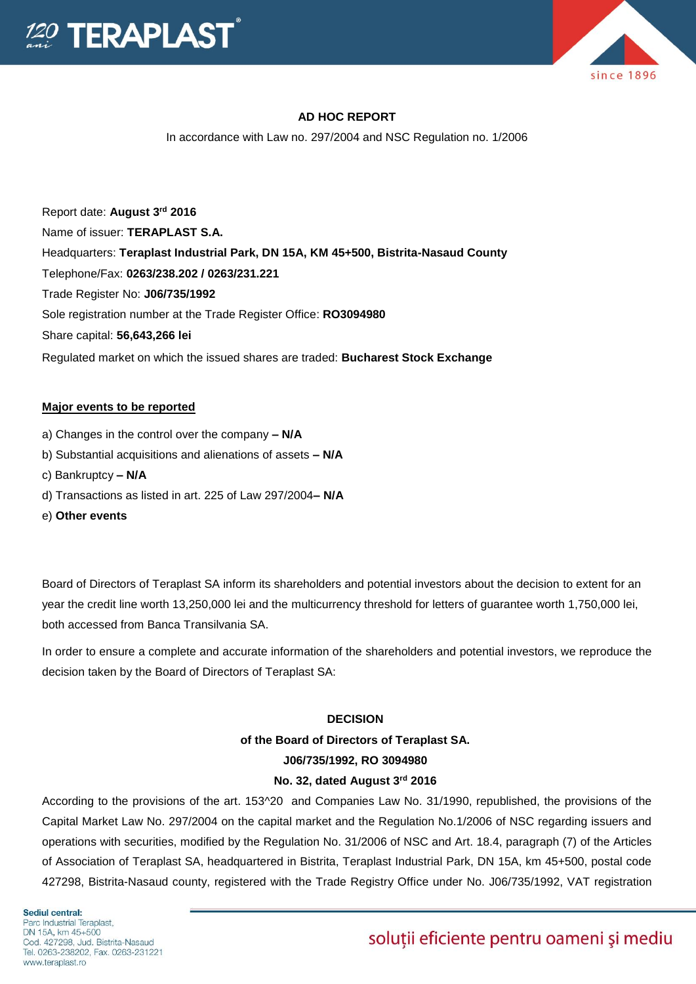

### **AD HOC REPORT**

In accordance with Law no. 297/2004 and NSC Regulation no. 1/2006

Report date: **August 3 rd 2016** Name of issuer: **TERAPLAST S.A.**  Headquarters: **Teraplast Industrial Park, DN 15A, KM 45+500, Bistrita-Nasaud County** Telephone/Fax: **0263/238.202 / 0263/231.221** Trade Register No: **J06/735/1992** Sole registration number at the Trade Register Office: **RO3094980** Share capital: **56,643,266 lei**  Regulated market on which the issued shares are traded: **Bucharest Stock Exchange**

#### **Major events to be reported**

- a) Changes in the control over the company **– N/A**
- b) Substantial acquisitions and alienations of assets **– N/A**
- c) Bankruptcy **– N/A**
- d) Transactions as listed in art. 225 of Law 297/2004**– N/A**
- e) **Other events**

Board of Directors of Teraplast SA inform its shareholders and potential investors about the decision to extent for an year the credit line worth 13,250,000 lei and the multicurrency threshold for letters of guarantee worth 1,750,000 lei, both accessed from Banca Transilvania SA.

In order to ensure a complete and accurate information of the shareholders and potential investors, we reproduce the decision taken by the Board of Directors of Teraplast SA:

#### **DECISION**

## **of the Board of Directors of Teraplast SA. J06/735/1992, RO 3094980**

#### **No. 32, dated August 3rd 2016**

According to the provisions of the art. 153^20 and Companies Law No. 31/1990, republished, the provisions of the Capital Market Law No. 297/2004 on the capital market and the Regulation No.1/2006 of NSC regarding issuers and operations with securities, modified by the Regulation No. 31/2006 of NSC and Art. 18.4, paragraph (7) of the Articles of Association of Teraplast SA, headquartered in Bistrita, Teraplast Industrial Park, DN 15A, km 45+500, postal code 427298, Bistrita-Nasaud county, registered with the Trade Registry Office under No. J06/735/1992, VAT registration

Sediul central: Parc Industrial Teraplast. DN 15A, km 45+500 Cod. 427298, Jud. Bistrita-Nasaud Tel. 0263-238202, Fax. 0263-231221 www.teraplast.ro

# soluții eficiente pentru oameni și mediu